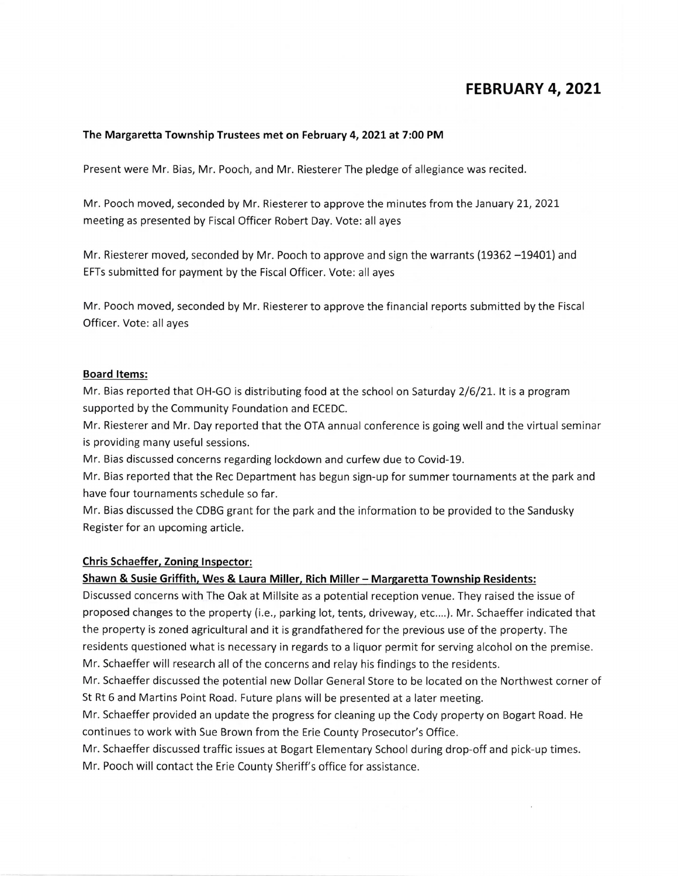# FEBRUARY 4, 2021

#### The Margaretta Township Trustees met on February 4, 2021 at 7:00 PM

Present were Mr. Bias, Mr. Pooch, and Mr. Riesterer The pledge of allegiance was recited.

Mr. Pooch moved, seconded by Mr. Riesterer to approve the minutes from the January 21, 2021 meeting as presented by Fiscal Officer Robert Day. Vote: all ayes

Mr. Riesterer moved, seconded by Mr. Pooch to approve and sign the warrants (19362 -19401) and EFTs submitted for payment by the Fiscal Officer. Vote: all ayes

Mr. Pooch moved, seconded by Mr. Riesterer to approve the financial reports submitted by the Fiscal Officer. Vote: all ayes

#### **Board Items:**

Mr. Bias reported that OH-GO is distributing food at the school on Saturday 2/6/21. It is a program supported by the Community Foundation and ECEDC.

Mr. Riesterer and Mr. Day reported that the OTA annual conference is going well and the virtual seminar is providing many useful sessions.

Mr. Bias discussed concerns regarding lockdown and curfew due to Covid-19.

Mr. Bias reported that the Rec Department has begun sign-up for summer tournaments at the park and have four tournaments schedule so far.

Mr. Bias discussed the CDBG grant for the park and the information to be provided to the Sandusky Register for an upcoming article.

#### **Chris Schaeffer, Zoning Inspector:**

### Shawn & Susie Griffith, Wes & Laura Miller, Rich Miller - Margaretta Township Residents:

Discussed concerns with The Oak at Millsite as a potential reception venue. They raised the issue of proposed changes to the property (i.e., parking lot, tents, driveway, etc....). Mr. Schaeffer indicated that the property is zoned agricultural and it is grandfathered for the previous use of the property. The residents questioned what is necessary in regards to a liquor permit for serving alcohol on the premise. Mr. Schaeffer will research all of the concerns and relay his findings to the residents.

Mr. Schaeffer discussed the potential new Dollar General Store to be located on the Northwest corner of St Rt 6 and Martins Point Road. Future plans will be presented at a later meeting.

Mr. Schaeffer provided an update the progress for cleaning up the Cody property on Bogart Road. He continues to work with Sue Brown from the Erie County Prosecutor's Office.

Mr. Schaeffer discussed traffic issues at Bogart Elementary School during drop-off and pick-up times. Mr. Pooch will contact the Erie County Sheriff's office for assistance.